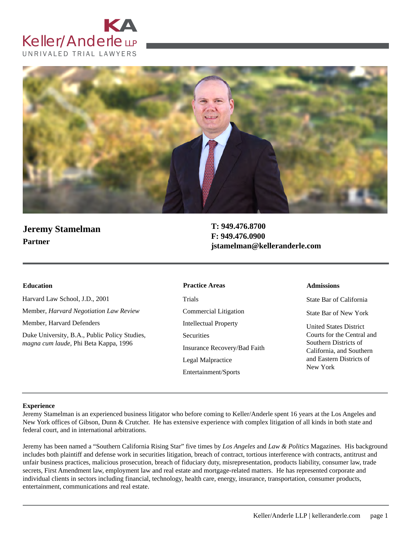



# **Jeremy Stamelman Partner**

**T: 949.476.8700 F: 949.476.0900 jstamelman@kelleranderle.com**

Harvard Law School, J.D., 2001 Member, *Harvard Negotiation Law Review* Member, Harvard Defenders Duke University, B.A., Public Policy Studies,

*magna cum laude*, Phi Beta Kappa, 1996

#### **Education Admissions Practice Areas**

Trials Commercial Litigation Intellectual Property **Securities** Insurance Recovery/Bad Faith Legal Malpractice Entertainment/Sports

State Bar of California

State Bar of New York

United States District Courts for the Central and Southern Districts of California, and Southern and Eastern Districts of New York

#### **Experience**

Jeremy Stamelman is an experienced business litigator who before coming to Keller/Anderle spent 16 years at the Los Angeles and New York offices of Gibson, Dunn & Crutcher. He has extensive experience with complex litigation of all kinds in both state and federal court, and in international arbitrations.

Jeremy has been named a "Southern California Rising Star" five times by *Los Angeles* and *Law & Politics* Magazines. His background includes both plaintiff and defense work in securities litigation, breach of contract, tortious interference with contracts, antitrust and unfair business practices, malicious prosecution, breach of fiduciary duty, misrepresentation, products liability, consumer law, trade secrets, First Amendment law, employment law and real estate and mortgage-related matters. He has represented corporate and individual clients in sectors including financial, technology, health care, energy, insurance, transportation, consumer products, entertainment, communications and real estate.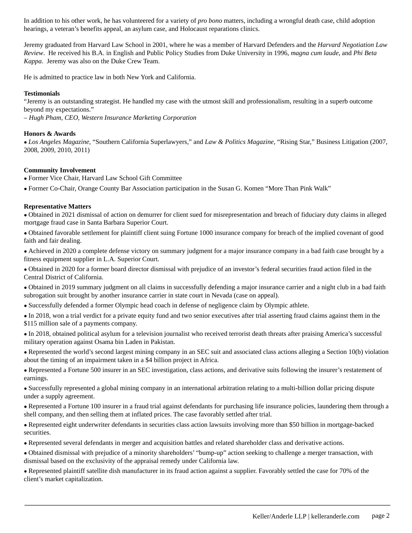In addition to his other work, he has volunteered for a variety of *pro bono* matters, including a wrongful death case, child adoption hearings, a veteran's benefits appeal, an asylum case, and Holocaust reparations clinics.

Jeremy graduated from Harvard Law School in 2001, where he was a member of Harvard Defenders and the *Harvard Negotiation Law Review*. He received his B.A. in English and Public Policy Studies from Duke University in 1996, *magna cum laude*, and *Phi Beta Kappa*. Jeremy was also on the Duke Crew Team.

He is admitted to practice law in both New York and California.

## **Testimonials**

"Jeremy is an outstanding strategist. He handled my case with the utmost skill and professionalism, resulting in a superb outcome beyond my expectations."

*– Hugh Pham, CEO, Western Insurance Marketing Corporation*

## **Honors & Awards**

● *Los Angeles Magazine*, "Southern California Superlawyers," and *Law & Politics Magazine*, "Rising Star," Business Litigation (2007, 2008, 2009, 2010, 2011)

### **Community Involvement**

● Former Vice Chair, Harvard Law School Gift Committee

● Former Co-Chair, Orange County Bar Association participation in the Susan G. Komen "More Than Pink Walk"

#### **Representative Matters**

● Obtained in 2021 dismissal of action on demurrer for client sued for misrepresentation and breach of fiduciary duty claims in alleged mortgage fraud case in Santa Barbara Superior Court.

● Obtained favorable settlement for plaintiff client suing Fortune 1000 insurance company for breach of the implied covenant of good faith and fair dealing.

● Achieved in 2020 a complete defense victory on summary judgment for a major insurance company in a bad faith case brought by a fitness equipment supplier in L.A. Superior Court.

● Obtained in 2020 for a former board director dismissal with prejudice of an investor's federal securities fraud action filed in the Central District of California.

• Obtained in 2019 summary judgment on all claims in successfully defending a major insurance carrier and a night club in a bad faith subrogation suit brought by another insurance carrier in state court in Nevada (case on appeal).

● Successfully defended a former Olympic head coach in defense of negligence claim by Olympic athlete.

● In 2018, won a trial verdict for a private equity fund and two senior executives after trial asserting fraud claims against them in the \$115 million sale of a payments company.

● In 2018, obtained political asylum for a television journalist who received terrorist death threats after praising America's successful military operation against Osama bin Laden in Pakistan.

● Represented the world's second largest mining company in an SEC suit and associated class actions alleging a Section 10(b) violation about the timing of an impairment taken in a \$4 billion project in Africa.

● Represented a Fortune 500 insurer in an SEC investigation, class actions, and derivative suits following the insurer's restatement of earnings.

● Successfully represented a global mining company in an international arbitration relating to a multi-billion dollar pricing dispute under a supply agreement.

● Represented a Fortune 100 insurer in a fraud trial against defendants for purchasing life insurance policies, laundering them through a shell company, and then selling them at inflated prices. The case favorably settled after trial.

● Represented eight underwriter defendants in securities class action lawsuits involving more than \$50 billion in mortgage-backed securities.

● Represented several defendants in merger and acquisition battles and related shareholder class and derivative actions.

● Obtained dismissal with prejudice of a minority shareholders' "bump-up" action seeking to challenge a merger transaction, with dismissal based on the exclusivity of the appraisal remedy under California law.

● Represented plaintiff satellite dish manufacturer in its fraud action against a supplier. Favorably settled the case for 70% of the client's market capitalization.